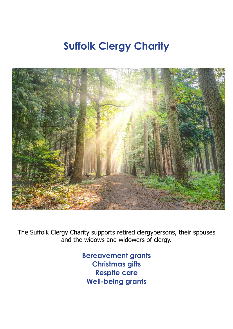# **Suffolk Clergy Charity**



The Suffolk Clergy Charity supports retired clergypersons, their spouses and the widows and widowers of clergy.

> **Bereavement grants Christmas gifts Respite care Well-being grants**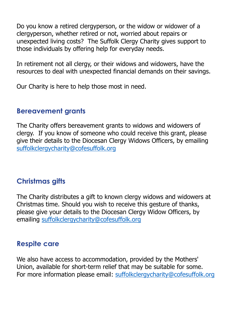Do you know a retired clergyperson, or the widow or widower of a clergyperson, whether retired or not, worried about repairs or unexpected living costs? The Suffolk Clergy Charity gives support to those individuals by offering help for everyday needs.

In retirement not all clergy, or their widows and widowers, have the resources to deal with unexpected financial demands on their savings.

Our Charity is here to help those most in need.

## **Bereavement grants**

The Charity offers bereavement grants to widows and widowers of clergy. If you know of someone who could receive this grant, please give their details to the Diocesan Clergy Widows Officers, by emailing [suffolkclergycharity@cofesuffolk.org](mailto:suffolkclergycharity@cofesuffolk.org)

# **Christmas gifts**

The Charity distributes a gift to known clergy widows and widowers at Christmas time. Should you wish to receive this gesture of thanks, please give your details to the Diocesan Clergy Widow Officers, by emailing [suffolkclergycharity@cofesuffolk.org](mailto:suffolkclergycharity@cofesuffolk.org)

## **Respite care**

We also have access to accommodation, provided by the Mothers' Union, available for short-term relief that may be suitable for some. For more information please email: [suffolkclergycharity@cofesuffolk.org](mailto:suffolkclergycharity@cofesuffolk.org)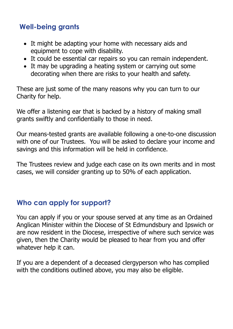# **Well-being grants**

- It might be adapting your home with necessary aids and equipment to cope with disability.
- It could be essential car repairs so you can remain independent.
- It may be upgrading a heating system or carrying out some decorating when there are risks to your health and safety.

These are just some of the many reasons why you can turn to our Charity for help.

We offer a listening ear that is backed by a history of making small grants swiftly and confidentially to those in need.

Our means-tested grants are available following a one-to-one discussion with one of our Trustees. You will be asked to declare your income and savings and this information will be held in confidence.

The Trustees review and judge each case on its own merits and in most cases, we will consider granting up to 50% of each application.

## **Who can apply for support?**

You can apply if you or your spouse served at any time as an Ordained Anglican Minister within the Diocese of St Edmundsbury and Ipswich or are now resident in the Diocese, irrespective of where such service was given, then the Charity would be pleased to hear from you and offer whatever help it can.

If you are a dependent of a deceased clergyperson who has complied with the conditions outlined above, you may also be eligible.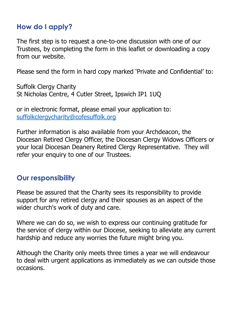## **How do I apply?**

The first step is to request a one-to-one discussion with one of our Trustees, by completing the form in this leaflet or downloading a copy from our website.

Please send the form in hard copy marked 'Private and Confidential' to:

Suffolk Clergy Charity St Nicholas Centre, 4 Cutler Street, Ipswich IP1 1UQ

or in electronic format, please email your application to: [suffolkclergycharity@cofesuffolk.org](mailto:suffolkclergycharity@cofesuffolk.org)

Further information is also available from your Archdeacon, the Diocesan Retired Clergy Officer, the Diocesan Clergy Widows Officers or your local Diocesan Deanery Retired Clergy Representative. They will refer your enquiry to one of our Trustees.

## **Our responsibility**

Please be assured that the Charity sees its responsibility to provide support for any retired clergy and their spouses as an aspect of the wider church's work of duty and care.

Where we can do so, we wish to express our continuing gratitude for the service of clergy within our Diocese, seeking to alleviate any current hardship and reduce any worries the future might bring you.

Although the Charity only meets three times a year we will endeavour to deal with urgent applications as immediately as we can outside those occasions.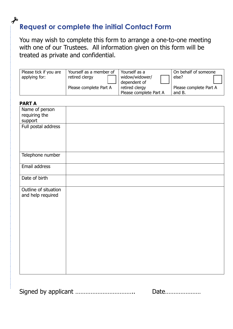#### $\boldsymbol{\mathcal{S}}$ **Request or complete the initial Contact Form**

You may wish to complete this form to arrange a one-to-one meeting with one of our Trustees. All information given on this form will be treated as private and confidential.

| Please tick if you are<br>applying for: | Yourself as a member of<br>retired clergy | Yourself as a<br>widow/widower/<br>dependent of | On behalf of someone<br>else?    |
|-----------------------------------------|-------------------------------------------|-------------------------------------------------|----------------------------------|
|                                         | Please complete Part A                    | retired clergy<br>Please complete Part A        | Please complete Part A<br>and B. |

| <b>PART A</b>        |  |
|----------------------|--|
| Name of person       |  |
| requiring the        |  |
| support              |  |
| Full postal address  |  |
|                      |  |
|                      |  |
|                      |  |
| Telephone number     |  |
|                      |  |
| Email address        |  |
|                      |  |
| Date of birth        |  |
|                      |  |
| Outline of situation |  |
| and help required    |  |
|                      |  |
|                      |  |
|                      |  |
|                      |  |
|                      |  |
|                      |  |
|                      |  |
|                      |  |
|                      |  |
|                      |  |
|                      |  |
|                      |  |
|                      |  |

Signed by applicant …………………………….. Date…………………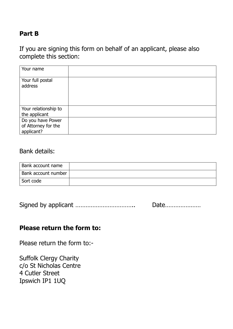#### **Part B**

If you are signing this form on behalf of an applicant, please also complete this section:

| Your name                                              |  |
|--------------------------------------------------------|--|
| Your full postal<br>address                            |  |
| Your relationship to<br>the applicant                  |  |
| Do you have Power<br>of Attorney for the<br>applicant? |  |

#### Bank details:

| <b>Bank account name</b> |  |
|--------------------------|--|
| Bank account number      |  |
| Sort code                |  |

|  | Date |
|--|------|
|--|------|

#### **Please return the form to:**

Please return the form to:-

Suffolk Clergy Charity c/o St Nicholas Centre 4 Cutler Street Ipswich IP1 1UQ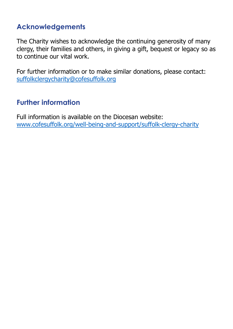# **Acknowledgements**

The Charity wishes to acknowledge the continuing generosity of many clergy, their families and others, in giving a gift, bequest or legacy so as to continue our vital work.

For further information or to make similar donations, please contact: [suffolkclergycharity@cofesuffolk.org](mailto:suffolkclergycharity@cofesuffolk.org)

# **Further information**

Full information is available on the Diocesan website: [www.cofesuffolk.org/well-being-and-support/suffolk-clergy-charity](http://www.cofesuffolk.org/well-being-and-support/suffolk-clergy-charity)